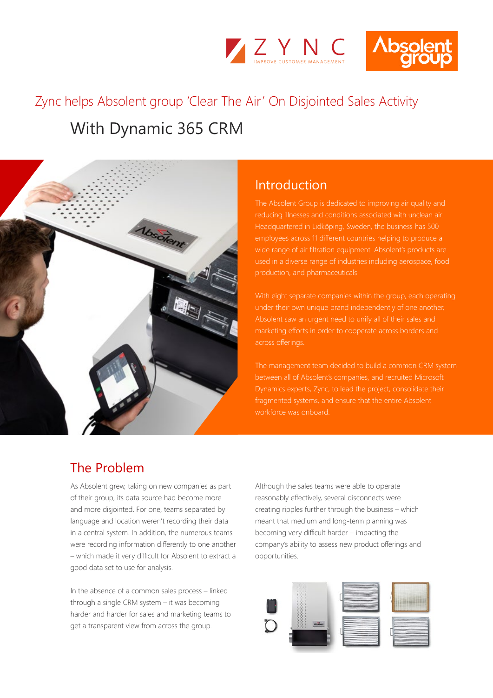



# With Dynamic 365 CRM Zync helps Absolent group 'Clear The Air' On Disjointed Sales Activity



## Introduction

reducing illnesses and conditions associated with unclean air. Headquartered in Lidköping, Sweden, the business has 500 employees across 11 different countries helping to produce a wide range of air filtration equipment. Absolent's products are used in a diverse range of industries including aerospace, food

With eight separate companies within the group, each operating under their own unique brand independently of one another, Absolent saw an urgent need to unify all of their sales and across offerings.

The management team decided to build a common CRM system between all of Absolent's companies, and recruited Microsoft fragmented systems, and ensure that the entire Absolent workforce was onboard.

## The Problem

As Absolent grew, taking on new companies as part of their group, its data source had become more and more disjointed. For one, teams separated by language and location weren't recording their data in a central system. In addition, the numerous teams were recording information differently to one another – which made it very difficult for Absolent to extract a good data set to use for analysis.

In the absence of a common sales process – linked through a single CRM system – it was becoming harder and harder for sales and marketing teams to get a transparent view from across the group.

Although the sales teams were able to operate reasonably effectively, several disconnects were creating ripples further through the business – which meant that medium and long-term planning was becoming very difficult harder – impacting the company's ability to assess new product offerings and opportunities.

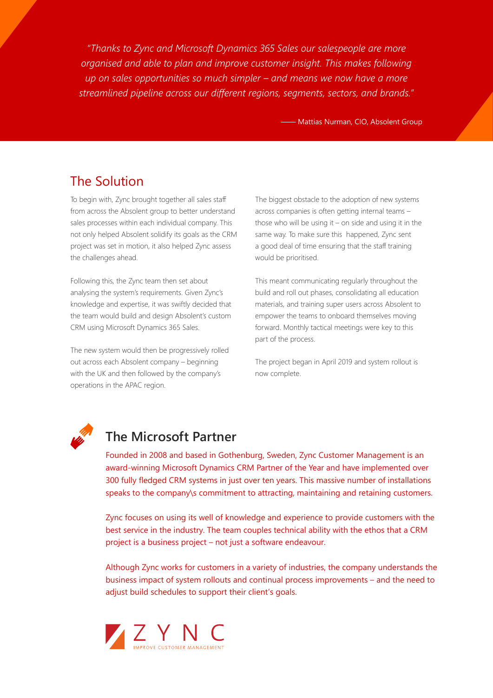*"Thanks to Zync and Microsoft Dynamics 365 Sales our salespeople are more organised and able to plan and improve customer insight. This makes following up on sales opportunities so much simpler – and means we now have a more streamlined pipeline across our different regions, segments, sectors, and brands."*

**WATTAN Mattias Nurman, CIO, Absolent Group** 

## The Solution

To begin with, Zync brought together all sales staff from across the Absolent group to better understand sales processes within each individual company. This not only helped Absolent solidify its goals as the CRM project was set in motion, it also helped Zync assess the challenges ahead.

Following this, the Zync team then set about analysing the system's requirements. Given Zync's knowledge and expertise, it was swiftly decided that the team would build and design Absolent's custom CRM using Microsoft Dynamics 365 Sales.

The new system would then be progressively rolled out across each Absolent company – beginning with the UK and then followed by the company's operations in the APAC region.

The biggest obstacle to the adoption of new systems across companies is often getting internal teams – those who will be using it – on side and using it in the same way. To make sure this happened, Zync sent a good deal of time ensuring that the staff training would be prioritised.

This meant communicating regularly throughout the build and roll out phases, consolidating all education materials, and training super users across Absolent to empower the teams to onboard themselves moving forward. Monthly tactical meetings were key to this part of the process.

The project began in April 2019 and system rollout is now complete.



## **The Microsoft Partner**

Founded in 2008 and based in Gothenburg, Sweden, Zync Customer Management is an award-winning Microsoft Dynamics CRM Partner of the Year and have implemented over 300 fully fledged CRM systems in just over ten years. This massive number of installations speaks to the company\s commitment to attracting, maintaining and retaining customers.

Zync focuses on using its well of knowledge and experience to provide customers with the best service in the industry. The team couples technical ability with the ethos that a CRM project is a business project – not just a software endeavour.

Although Zync works for customers in a variety of industries, the company understands the business impact of system rollouts and continual process improvements – and the need to adjust build schedules to support their client's goals.